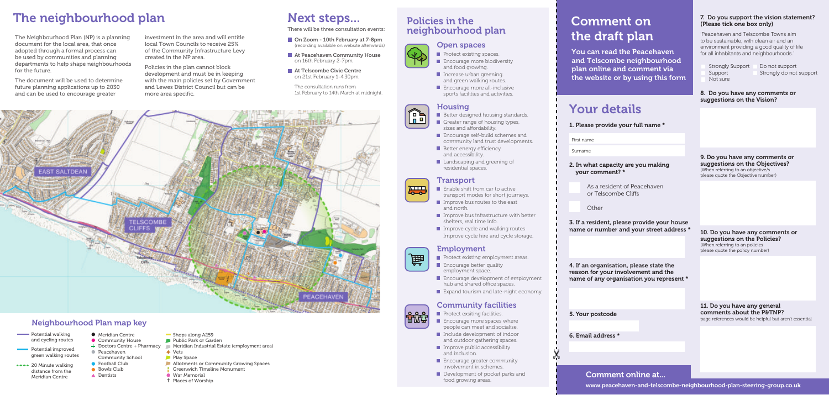## Comment on the draft plan

## Your details

You can read the Peacehaven and Telscombe neighbourhood plan online and comment via the website or by using this form

> As a resident of Peacehaven or Telscombe Cliffs

www.peacehaven-and-telscombe-neighbourhood-plan-steering-group.co.uk

1. Please provide your full name \*

First name

Surname

### 2. In what capacity are you making your comment? \*

Other

o To

8. Do you have any comments or suggestions on the Vision?

3. If a resident, please provide your house name or number and your street address \*

4. If an organisation, please state the reason for your involvement and the name of any organisation you represent \*

5. Your postcode

6. Email address \*



### 7. Do you support the vision statement? (Please tick one box only)

Not sure

Strongly Support Do not support<br>Support Strongly do not Strongly do not support

9. Do you have any comments or suggestions on the Objectives? (When referring to an objective/s please quote the Objective number)

10. Do you have any comments or suggestions on the Policies? (When referring to an policies

please quote the policy number)

11. Do you have any general comments about the P&TNP? page references would be helpful but aren't essential

'Peacehaven and Telscombe Towns aim to be sustainable, with clean air and an environment providing a good quality of life for all inhabitants and neighbourhoods.'

- 
- 

### Comment online at...

- Protect existing spaces. **Encourage more biodiversity** and food growing.
- Increase urban greening. and green walking routes.
- **Encourage more all-inclusive** sports facilities and activities.

## The neighbourhood plan Next steps...

The Neighbourhood Plan (NP) is a planning document for the local area, that once adopted through a formal process can be used by communities and planning departments to help shape neighbourhoods for the future.

The document will be used to determine future planning applications up to 2030 and can be used to encourage greater

- $\blacksquare$  Greater range of housing types.
- sizes and affordability. Encourage self-build schemes and community land trust developments.
- $\blacksquare$  Better energy efficiency and accessibility.
- **Landscaping and greening of** residential spaces.

investment in the area and will entitle local Town Councils to receive 25% of the Community Infrastructure Levy created in the NP area.

- I Improve bus routes to the east and north.
- $\blacksquare$  Improve bus infrastructure with better shelters, real time info.
- $\blacksquare$  Improve cycle and walking routes Improve cycle hire and cycle storage.

Policies in the plan cannot block development and must be in keeping with the main policies set by Government and Lewes District Council but can be more area specific.



- **Protect exsiting facilities**
- **Encourage more spaces where** people can meet and socialise.
- Include development of indoor and outdoor gathering spaces.
- $\blacksquare$  Improve public accessibility and inclusion.
- **Encourage greater community** involvement in schemes.
- Development of pocket parks and food growing areas.

- On Zoom 10th February at 7-8pm (recording available on website afterwards)
- **At Peacehaven Community House** on 16th February 2-7pm
- At Telscombe Civic Centre on 21st February 1-4.30pm

The consultation runs from 1st February to 14th March at midnight.

## Neighbourhood Plan map key

- **Walking** Potential walking and cycling routes
- **Potential improved** green walking routes
- \*\*\*\* 20 Minute walking distance from the Meridian Centre
- Meridian Centre **Community House**
- Doctors Centre + Pharmacy **Peacehaven**
- Community School ● Football Club
- Bowls Club
- **A** Dentists
	-
- Shops along A259
	-
- 
- 

- 
- 
- -

**Greenwich Timeline Monument** 

- **Public Park or Garden**
- **Meridian Industrial Estate (employment area)**
- Vets
- Play Space
- **Allotments or Community Growing Spaces**
- 
- 
- 
- War Memorial
- **t** Places of Worship

盦



### Housing

### Open spaces



ĥ

**THE REA** 



### Transport



### Employment

- $\blacksquare$  Protect existing employment areas.
- **Encourage better quality**
- **Encourage development of employment** hub and shared office spaces.
- **Expand tourism and late-night economy.**
- - - employment space.
		-



- 
- 



## Community facilities